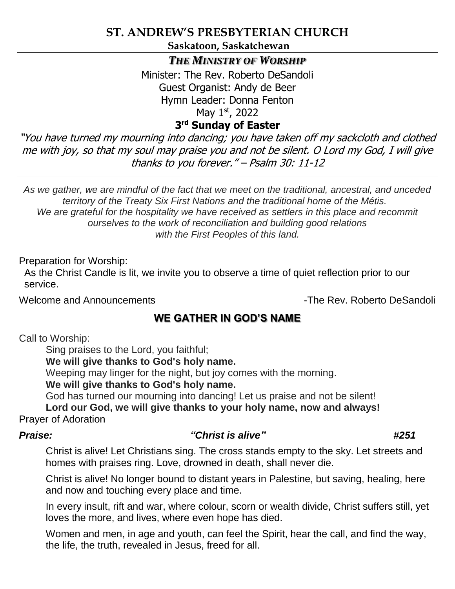# **ST. ANDREW'S PRESBYTERIAN CHURCH**

**Saskatoon, Saskatchewan**

### *THE MINISTRY OF WORSHIP*

Minister: The Rev. Roberto DeSandoli Guest Organist: Andy de Beer Hymn Leader: Donna Fenton May 1st, 2022

# **3 rd Sunday of Easter**

"You have turned my mourning into dancing; you have taken off my sackcloth and clothed me with joy, so that my soul may praise you and not be silent. O Lord my God, I will give thanks to you forever." – Psalm 30: 11-12

*As we gather, we are mindful of the fact that we meet on the traditional, ancestral, and unceded territory of the Treaty Six First Nations and the traditional home of the Métis. We are grateful for the hospitality we have received as settlers in this place and recommit ourselves to the work of reconciliation and building good relations with the First Peoples of this land.*

Preparation for Worship:

As the Christ Candle is lit, we invite you to observe a time of quiet reflection prior to our service.

Welcome and Announcements **-The Rev. Roberto DeSandoli** 

# **WE GATHER IN GOD'S NAME**

Call to Worship:

Sing praises to the Lord, you faithful;

**We will give thanks to God's holy name.**

Weeping may linger for the night, but joy comes with the morning.

**We will give thanks to God's holy name.**

God has turned our mourning into dancing! Let us praise and not be silent!

**Lord our God, we will give thanks to your holy name, now and always!** Prayer of Adoration

# *Praise: "Christ is alive" #251*

Christ is alive! Let Christians sing. The cross stands empty to the sky. Let streets and homes with praises ring. Love, drowned in death, shall never die.

Christ is alive! No longer bound to distant years in Palestine, but saving, healing, here and now and touching every place and time.

In every insult, rift and war, where colour, scorn or wealth divide, Christ suffers still, yet loves the more, and lives, where even hope has died.

Women and men, in age and youth, can feel the Spirit, hear the call, and find the way, the life, the truth, revealed in Jesus, freed for all.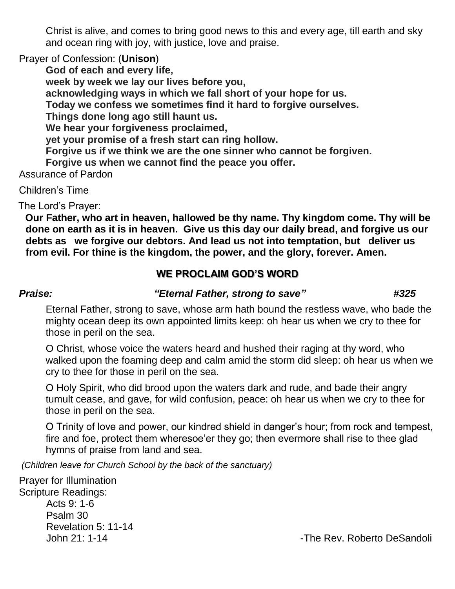Christ is alive, and comes to bring good news to this and every age, till earth and sky and ocean ring with joy, with justice, love and praise.

Prayer of Confession: (**Unison**)

**God of each and every life, week by week we lay our lives before you, acknowledging ways in which we fall short of your hope for us. Today we confess we sometimes find it hard to forgive ourselves. Things done long ago still haunt us. We hear your forgiveness proclaimed, yet your promise of a fresh start can ring hollow. Forgive us if we think we are the one sinner who cannot be forgiven. Forgive us when we cannot find the peace you offer.** Assurance of Pardon

Children's Time

The Lord's Prayer:

**Our Father, who art in heaven, hallowed be thy name. Thy kingdom come. Thy will be done on earth as it is in heaven. Give us this day our daily bread, and forgive us our debts as we forgive our debtors. And lead us not into temptation, but deliver us from evil. For thine is the kingdom, the power, and the glory, forever. Amen.**

# **WE PROCLAIM GOD'S WORD**

### *Praise: "Eternal Father, strong to save" #325*

Eternal Father, strong to save, whose arm hath bound the restless wave, who bade the mighty ocean deep its own appointed limits keep: oh hear us when we cry to thee for those in peril on the sea.

O Christ, whose voice the waters heard and hushed their raging at thy word, who walked upon the foaming deep and calm amid the storm did sleep: oh hear us when we cry to thee for those in peril on the sea.

O Holy Spirit, who did brood upon the waters dark and rude, and bade their angry tumult cease, and gave, for wild confusion, peace: oh hear us when we cry to thee for those in peril on the sea.

O Trinity of love and power, our kindred shield in danger's hour; from rock and tempest, fire and foe, protect them wheresoe'er they go; then evermore shall rise to thee glad hymns of praise from land and sea.

*(Children leave for Church School by the back of the sanctuary)*

Prayer for Illumination Scripture Readings: Acts 9: 1-6 Psalm 30 Revelation 5: 11-14

John 21: 1-14 - John 21: 1-14 - John 21: 1-14 - John 21: 1-14 - John 21: 1-14 - John 21: 1-14 - John 21: 1-14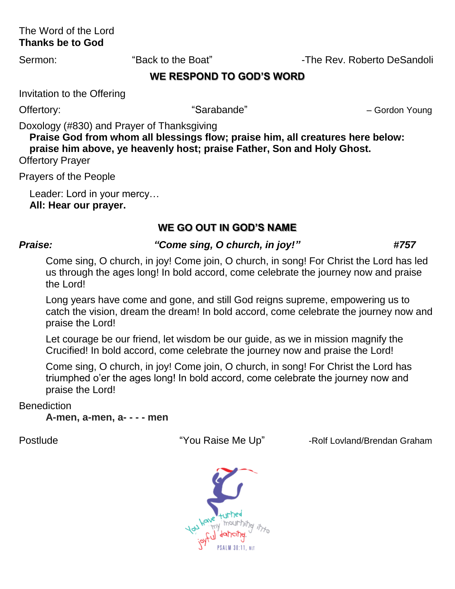## The Word of the Lord **Thanks be to God**

Sermon: "Back to the Boat" -The Rev. Roberto DeSandoli

## **WE RESPOND TO GOD'S WORD**

Invitation to the Offering

Offertory: The Context of Sarabande" and Sarabande" All Allen Cordon Young

Doxology (#830) and Prayer of Thanksgiving

**Praise God from whom all blessings flow; praise him, all creatures here below: praise him above, ye heavenly host; praise Father, Son and Holy Ghost.**  Offertory Prayer

Prayers of the People

Leader: Lord in your mercy… **All: Hear our prayer.**

# **WE GO OUT IN GOD'S NAME**

# *Praise: "Come sing, O church, in joy!" #757*

Come sing, O church, in joy! Come join, O church, in song! For Christ the Lord has led us through the ages long! In bold accord, come celebrate the journey now and praise the Lord!

Long years have come and gone, and still God reigns supreme, empowering us to catch the vision, dream the dream! In bold accord, come celebrate the journey now and praise the Lord!

Let courage be our friend, let wisdom be our guide, as we in mission magnify the Crucified! In bold accord, come celebrate the journey now and praise the Lord!

Come sing, O church, in joy! Come join, O church, in song! For Christ the Lord has triumphed o'er the ages long! In bold accord, come celebrate the journey now and praise the Lord!

**Benediction** 

**A-men, a-men, a- - - - men**

Postlude The State Me Up" -Rolf Lovland/Brendan Graham

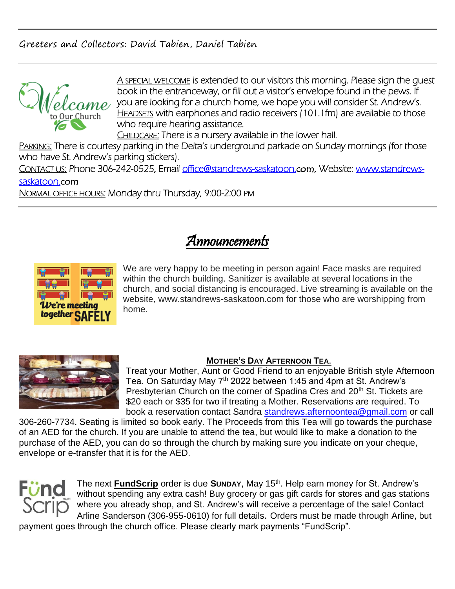Greeters and Collectors: David Tabien, Daniel Tabien



A SPECIAL WELCOME is extended to our visitors this morning. Please sign the quest book in the entranceway, or fill out a visitor's envelope found in the pews. If you are looking for a church home, we hope you will consider St. Andrew's. HEADSETS with earphones and radio receivers (101.1fm) are available to those who require hearing assistance.

CHILDCARE: There is a nursery available in the lower hall.

PARKING: There is courtesy parking in the Delta's underground parkade on Sunday mornings (for those who have St. Andrew's parking stickers).

CONTACT US: Phone 306-242-0525, Email [office@standrews-saskatoon.](mailto:office@standrews-saskatoon.)com, Website: [www.standrews](http://www.standrews-saskatoon./)[saskatoon.](http://www.standrews-saskatoon./)com

NORMAL OFFICE HOURS: Monday thru Thursday, 9:00-2:00 PM

# Announcements



We are very happy to be meeting in person again! Face masks are required within the church building. Sanitizer is available at several locations in the church, and social distancing is encouraged. Live streaming is available on the website, www.standrews-saskatoon.com for those who are worshipping from home.



#### **MOTHER'S DAY AFTERNOON TEA**.

Treat your Mother, Aunt or Good Friend to an enjoyable British style Afternoon Tea. On Saturday May 7<sup>th</sup> 2022 between 1:45 and 4pm at St. Andrew's Presbyterian Church on the corner of Spadina Cres and 20<sup>th</sup> St. Tickets are \$20 each or \$35 for two if treating a Mother. Reservations are required. To book a reservation contact Sandra [standrews.afternoontea@gmail.com](mailto:standrews.afternoontea@gmail.com) or call

306-260-7734. Seating is limited so book early. The Proceeds from this Tea will go towards the purchase of an AED for the church. If you are unable to attend the tea, but would like to make a donation to the purchase of the AED, you can do so through the church by making sure you indicate on your cheque, envelope or e-transfer that it is for the AED.



The next **FundScrip** order is due Sunday, May 15<sup>th</sup>. Help earn money for St. Andrew's without spending any extra cash! Buy grocery or gas gift cards for stores and gas stations where you already shop, and St. Andrew's will receive a percentage of the sale! Contact Arline Sanderson (306-955-0610) for full details. Orders must be made through Arline, but

payment goes through the church office. Please clearly mark payments "FundScrip".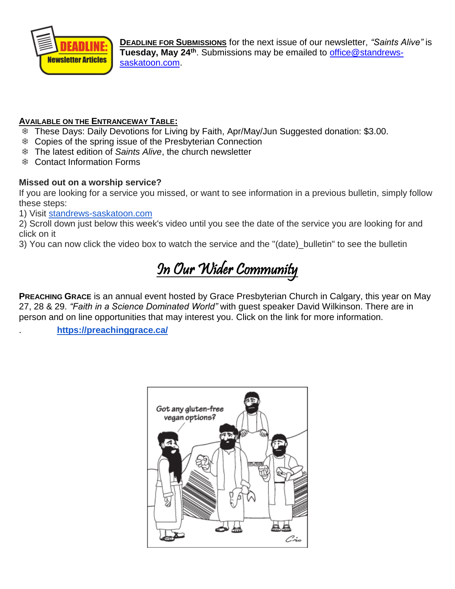

**DEADLINE FOR SUBMISSIONS** for the next issue of our newsletter, *"Saints Alive"* is **Tuesday, May 24th**. Submissions may be emailed to [office@standrews](mailto:office@standrews-saskatoon.com)[saskatoon.com.](mailto:office@standrews-saskatoon.com)

#### **AVAILABLE ON THE ENTRANCEWAY TABLE:**

- These Days: Daily Devotions for Living by Faith, Apr/May/Jun Suggested donation: \$3.00.
- Copies of the spring issue of the Presbyterian Connection
- The latest edition of *Saints Alive*, the church newsletter
- Contact Information Forms

#### **Missed out on a worship service?**

If you are looking for a service you missed, or want to see information in a previous bulletin, simply follow these steps:

1) Visit [standrews-saskatoon.com](http://standrews-saskatoon.com/)

2) Scroll down just below this week's video until you see the date of the service you are looking for and click on it

3) You can now click the video box to watch the service and the "(date)\_bulletin" to see the bulletin

# In Our Wider Community

**PREACHING GRACE** is an annual event hosted by Grace Presbyterian Church in Calgary, this year on May 27, 28 & 29. *"Faith in a Science Dominated World"* with guest speaker David Wilkinson. There are in person and on line opportunities that may interest you. Click on the link for more information.

. **<https://preachinggrace.ca/>**